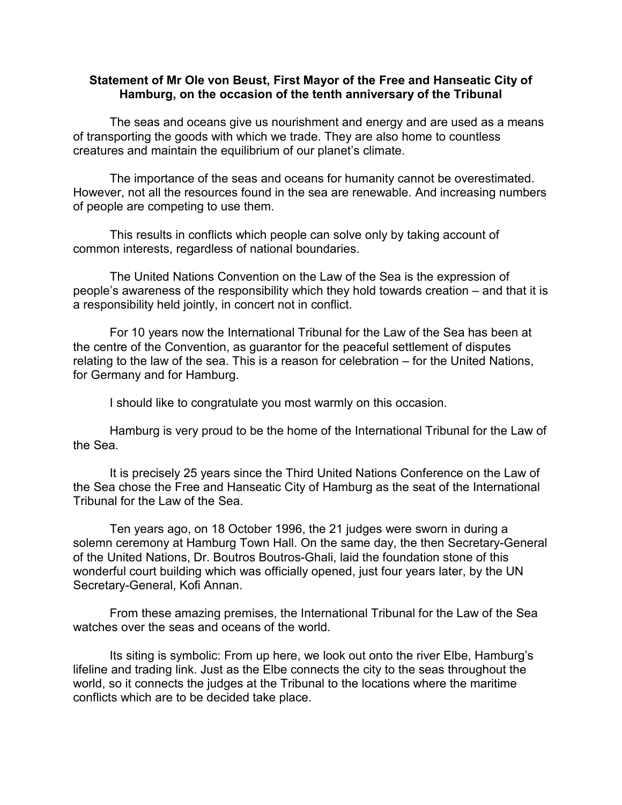## **Statement of Mr Ole von Beust, First Mayor of the Free and Hanseatic City of Hamburg, on the occasion of the tenth anniversary of the Tribunal**

The seas and oceans give us nourishment and energy and are used as a means of transporting the goods with which we trade. They are also home to countless creatures and maintain the equilibrium of our planet's climate.

The importance of the seas and oceans for humanity cannot be overestimated. However, not all the resources found in the sea are renewable. And increasing numbers of people are competing to use them.

This results in conflicts which people can solve only by taking account of common interests, regardless of national boundaries.

The United Nations Convention on the Law of the Sea is the expression of people's awareness of the responsibility which they hold towards creation – and that it is a responsibility held jointly, in concert not in conflict.

For 10 years now the International Tribunal for the Law of the Sea has been at the centre of the Convention, as guarantor for the peaceful settlement of disputes relating to the law of the sea. This is a reason for celebration – for the United Nations, for Germany and for Hamburg.

I should like to congratulate you most warmly on this occasion.

Hamburg is very proud to be the home of the International Tribunal for the Law of the Sea.

It is precisely 25 years since the Third United Nations Conference on the Law of the Sea chose the Free and Hanseatic City of Hamburg as the seat of the International Tribunal for the Law of the Sea.

Ten years ago, on 18 October 1996, the 21 judges were sworn in during a solemn ceremony at Hamburg Town Hall. On the same day, the then Secretary-General of the United Nations, Dr. Boutros Boutros-Ghali, laid the foundation stone of this wonderful court building which was officially opened, just four years later, by the UN Secretary-General, Kofi Annan.

From these amazing premises, the International Tribunal for the Law of the Sea watches over the seas and oceans of the world.

Its siting is symbolic: From up here, we look out onto the river Elbe, Hamburg's lifeline and trading link. Just as the Elbe connects the city to the seas throughout the world, so it connects the judges at the Tribunal to the locations where the maritime conflicts which are to be decided take place.